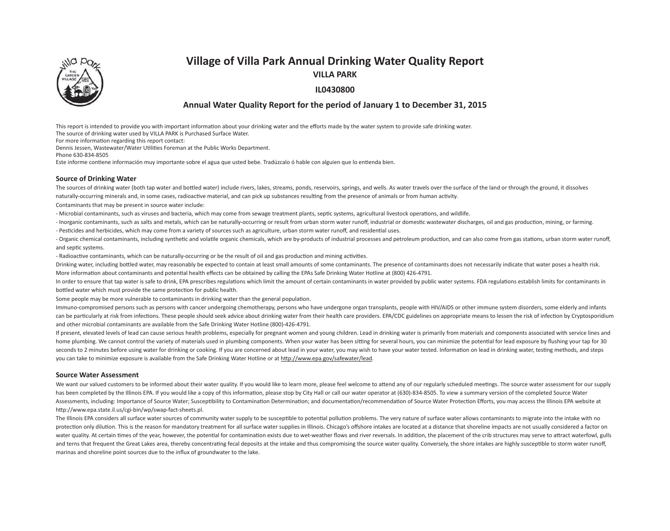# **Village of Villa Park Annual Drinking Water Quality Report**



**VILLA PARK**

# **IL0430800**

# **Annual Water Quality Report for the period of January 1 to December 31, 2015**

This report is intended to provide you with important information about your drinking water and the efforts made by the water system to provide safe drinking water.

The source of drinking water used by VILLA PARK is Purchased Surface Water.

For more information regarding this report contact:

Dennis Jessen, Wastewater/Water Utilities Foreman at the Public Works Department.

Phone 630-834-8505

Este informe contiene información muy importante sobre el agua que usted bebe. Tradúzcalo ó hable con alguien que lo entienda bien.

### **Source of Drinking Water**

The sources of drinking water (both tap water and bottled water) include rivers, lakes, streams, ponds, reservoirs, springs, and wells. As water travels over the surface of the land or through the ground, it dissolves naturally-occurring minerals and, in some cases, radioactive material, and can pick up substances resulting from the presence of animals or from human activity.

Contaminants that may be present in source water include:

- Microbial contaminants, such as viruses and bacteria, which may come from sewage treatment plants, septic systems, agricultural livestock operations, and wildlife.

- Inorganic contaminants, such as salts and metals, which can be naturally-occurring or result from urban storm water runoff, industrial or domestic wastewater discharges, oil and gas production, mining, or farming.
- Pesticides and herbicides, which may come from a variety of sources such as agriculture, urban storm water runoff, and residential uses.

- Organic chemical contaminants, including synthetic and volatile organic chemicals, which are by-products of industrial processes and petroleum production, and can also come from gas stations, urban storm water runoff, and septic systems.

- Radioactive contaminants, which can be naturally-occurring or be the result of oil and gas production and mining activities.

Drinking water, including bottled water, may reasonably be expected to contain at least small amounts of some contaminants. The presence of contaminants does not necessarily indicate that water poses a health risk. More information about contaminants and potential health effects can be obtained by calling the EPAs Safe Drinking Water Hotline at (800) 426-4791.

In order to ensure that tap water is safe to drink, EPA prescribes regulations which limit the amount of certain contaminants in water provided by public water systems. FDA regulations establish limits for contaminants in bottled water which must provide the same protection for public health.

Some people may be more vulnerable to contaminants in drinking water than the general population.

Immuno-compromised persons such as persons with cancer undergoing chemotherapy, persons who have undergone organ transplants, people with HIV/AIDS or other immune system disorders, some elderly and infants can be particularly at risk from infections. These people should seek advice about drinking water from their health care providers. EPA/CDC guidelines on appropriate means to lessen the risk of infection by Cryptosporidium and other microbial contaminants are available from the Safe Drinking Water Hotline (800)-426-4791.

If present, elevated levels of lead can cause serious health problems, especially for pregnant women and young children. Lead in drinking water is primarily from materials and components associated with service lines and home plumbing. We cannot control the variety of materials used in plumbing components. When your water has been sitting for several hours, you can minimize the potential for lead exposure by flushing your tap for 30 seconds to 2 minutes before using water for drinking or cooking. If you are concerned about lead in your water, you may wish to have your water tested. Information on lead in drinking water, testing methods, and steps you can take to minimize exposure is available from the Safe Drinking Water Hotline or at http://www.epa.gov/safewater/lead.

### **Source Water Assessment**

We want our valued customers to be informed about their water quality. If you would like to learn more, please feel welcome to attend any of our regularly scheduled meetings. The source water assessment for our supply has been completed by the Illinois EPA. If you would like a copy of this information, please stop by City Hall or call our water operator at (630)-834-8505. To view a summary version of the completed Source Water Assessments, including: Importance of Source Water; Susceptibility to Contamination Determination; and documentation/recommendation of Source Water Protection Efforts, you may access the Illinois EPA website at http://www.epa.state.il.us/cgi-bin/wp/swap-fact-sheets.pl.

The Illinois EPA considers all surface water sources of community water supply to be susceptible to potential pollution problems. The very nature of surface water allows contaminants to migrate into the intake with no protection only dilution. This is the reason for mandatory treatment for all surface water supplies in Illinois. Chicago's offshore intakes are located at a distance that shoreline impacts are not usually considered a fact water quality. At certain times of the year, however, the potential for contamination exists due to wet-weather flows and river reversals. In addition, the placement of the crib structures may serve to attract waterfowl, g and terns that frequent the Great Lakes area, thereby concentrating fecal deposits at the intake and thus compromising the source water quality. Conversely, the shore intakes are highly susceptible to storm water runoff, marinas and shoreline point sources due to the influx of groundwater to the lake.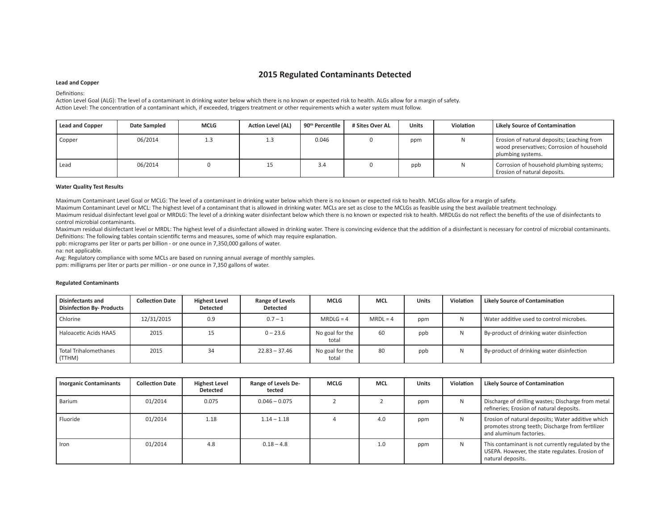# **2015 Regulated Contaminants Detected**

#### **Lead and Copper**

Definitions:

Action Level Goal (ALG): The level of a contaminant in drinking water below which there is no known or expected risk to health. ALGs allow for a margin of safety. Action Level: The concentration of a contaminant which, if exceeded, triggers treatment or other requirements which a water system must follow.

| <b>Lead and Copper</b> | Date Sampled | <b>MCLG</b> | <b>Action Level (AL)</b> | 90 <sup>th</sup> Percentile | # Sites Over AL | <b>Units</b> | <b>Violation</b> | Likely Source of Contamination                                                                                |
|------------------------|--------------|-------------|--------------------------|-----------------------------|-----------------|--------------|------------------|---------------------------------------------------------------------------------------------------------------|
| Copper                 | 06/2014      | 1.3         | ᆠ                        | 0.046                       |                 | ppm          |                  | Erosion of natural deposits; Leaching from<br>wood preservatives; Corrosion of household<br>plumbing systems. |
| Lead                   | 06/2014      |             | ᆠ                        | 3.4                         |                 | ppb          |                  | Corrosion of household plumbing systems;<br>Erosion of natural deposits.                                      |

#### **Water Quality Test Results**

Maximum Contaminant Level Goal or MCLG: The level of a contaminant in drinking water below which there is no known or expected risk to health. MCLGs allow for a margin of safety.

Maximum Contaminant Level or MCL: The highest level of a contaminant that is allowed in drinking water. MCLs are set as close to the MCLGs as feasible using the best available treatment technology.

Maximum residual disinfectant level goal or MRDLG: The level of a drinking water disinfectant below which there is no known or expected risk to health. MRDLGs do not reflect the benefits of the use of disinfectants to control microbial contaminants.

Maximum residual disinfectant level or MRDL: The highest level of a disinfectant allowed in drinking water. There is convincing evidence that the addition of a disinfectant is necessary for control of microbial contaminant Definitions: The following tables contain scientific terms and measures, some of which may require explanation.

ppb: micrograms per liter or parts per billion - or one ounce in 7,350,000 gallons of water.

na: not applicable.

Avg: Regulatory compliance with some MCLs are based on running annual average of monthly samples.

ppm: milligrams per liter or parts per million - or one ounce in 7,350 gallons of water.

| <b>Disinfectants and</b><br><b>Disinfection By- Products</b> | <b>Collection Date</b> | <b>Highest Level</b><br>Detected | Range of Levels<br><b>Detected</b> | <b>MCLG</b>              | <b>MCL</b> | <b>Units</b> | Violation | <b>Likely Source of Contamination</b>     |
|--------------------------------------------------------------|------------------------|----------------------------------|------------------------------------|--------------------------|------------|--------------|-----------|-------------------------------------------|
| Chlorine                                                     | 12/31/2015             | 0.9                              | $0.7 - 1$                          | $MRDLG = 4$              | $MRDL = 4$ | ppm          |           | Water additive used to control microbes.  |
| Haloacetic Acids HAA5                                        | 2015                   | 15                               | $0 - 23.6$                         | No goal for the<br>total | 60         | ppb          |           | By-product of drinking water disinfection |
| <b>Total Trihalomethanes</b><br>(TTHM)                       | 2015                   | 34                               | $22.83 - 37.46$                    | No goal for the<br>total | 80         | ppb          |           | By-product of drinking water disinfection |

#### **Regulated Contaminants**

| <b>Inorganic Contaminants</b> | <b>Collection Date</b> | <b>Highest Level</b><br><b>Detected</b> | Range of Levels De-<br>tected | <b>MCLG</b> | <b>MCL</b> | <b>Units</b> | Violation | <b>Likely Source of Contamination</b>                                                                                            |
|-------------------------------|------------------------|-----------------------------------------|-------------------------------|-------------|------------|--------------|-----------|----------------------------------------------------------------------------------------------------------------------------------|
| Barium                        | 01/2014                | 0.075                                   | $0.046 - 0.075$               |             |            | ppm          | N         | Discharge of drilling wastes; Discharge from metal<br>refineries; Erosion of natural deposits.                                   |
| Fluoride                      | 01/2014                | 1.18                                    | $1.14 - 1.18$                 |             | 4.0        | ppm          | N         | Erosion of natural deposits; Water additive which<br>promotes strong teeth; Discharge from fertilizer<br>and aluminum factories. |
| Iron                          | 01/2014                | 4.8                                     | $0.18 - 4.8$                  |             | 1.0        | ppm          | N         | This contaminant is not currently regulated by the<br>USEPA. However, the state regulates. Erosion of<br>natural deposits.       |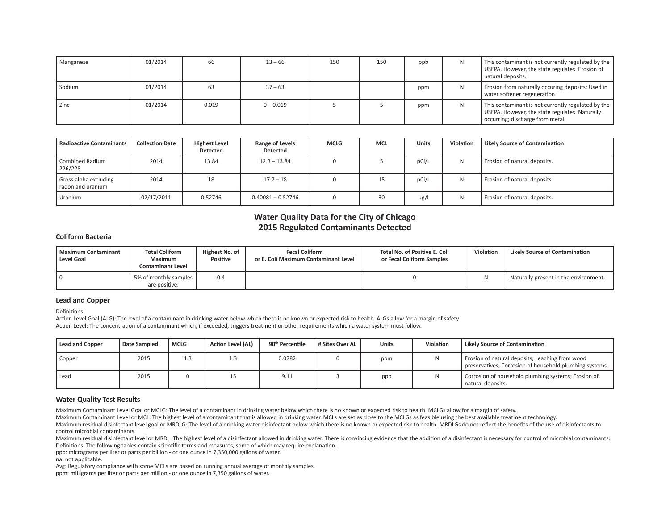| Manganese | 01/2014 | 66    | $13 - 66$   | 150 | 150 | ppb | N  | This contaminant is not currently regulated by the<br>USEPA. However, the state regulates. Erosion of<br>natural deposits.               |
|-----------|---------|-------|-------------|-----|-----|-----|----|------------------------------------------------------------------------------------------------------------------------------------------|
| Sodium    | 01/2014 | 63    | $37 - 63$   |     |     | ppm | N  | Erosion from naturally occuring deposits: Used in<br>water softener regeneration.                                                        |
| Zinc      | 01/2014 | 0.019 | $0 - 0.019$ |     |     | ppm | N. | This contaminant is not currently regulated by the<br>USEPA. However, the state regulates. Naturally<br>occurring; discharge from metal. |

| <b>Radioactive Contaminants</b>            | <b>Collection Date</b> | <b>Highest Level</b><br>Detected | Range of Levels<br><b>Detected</b> | <b>MCLG</b> | <b>MCL</b> | <b>Units</b> | Violation | <b>Likely Source of Contamination</b> |
|--------------------------------------------|------------------------|----------------------------------|------------------------------------|-------------|------------|--------------|-----------|---------------------------------------|
| <b>Combined Radium</b><br>226/228          | 2014                   | 13.84                            | $12.3 - 13.84$                     |             |            | pCi/L        | N         | Erosion of natural deposits.          |
| Gross alpha excluding<br>radon and uranium | 2014                   | 18                               | $17.7 - 18$                        |             | 15         | pCi/L        | N         | Erosion of natural deposits.          |
| Uranium                                    | 02/17/2011             | 0.52746                          | $0.40081 - 0.52746$                |             | 30         | ug/l         | N         | Erosion of natural deposits.          |

# **Water Quality Data for the City of Chicago 2015 Regulated Contaminants Detected**

### **Coliform Bacteria**

| l Maximum Contaminant<br>Level Goal | <b>Total Coliform</b><br><b>Maximum</b><br><b>Contaminant Level</b> | Highest No. of<br>Positive | <b>Fecal Coliform</b><br>or E. Coli Maximum Contaminant Level | Total No. of Positive E. Coli<br>or Fecal Coliform Samples | <b>Violation</b> | Likely Source of Contamination          |
|-------------------------------------|---------------------------------------------------------------------|----------------------------|---------------------------------------------------------------|------------------------------------------------------------|------------------|-----------------------------------------|
|                                     | 5% of monthly samples<br>are positive.                              | 0.4                        |                                                               |                                                            |                  | I Naturally present in the environment. |

### **Lead and Copper**

Definitions:

Action Level Goal (ALG): The level of a contaminant in drinking water below which there is no known or expected risk to health. ALGs allow for a margin of safety. Action Level: The concentration of a contaminant which, if exceeded, triggers treatment or other requirements which a water system must follow.

| Lead and Copper | Date Sampled | <b>MCLG</b> | Action Level (AL) | 90 <sup>th</sup> Percentile | # Sites Over AL | <b>Units</b> | Violation | Likely Source of Contamination                                                                             |
|-----------------|--------------|-------------|-------------------|-----------------------------|-----------------|--------------|-----------|------------------------------------------------------------------------------------------------------------|
| Copper          | 2015         | ⊥⊷          |                   | 0.0782                      |                 | ppm          |           | Erosion of natural deposits; Leaching from wood<br>preservatives; Corrosion of household plumbing systems. |
| Lead            | 2015         |             |                   | 9.11                        |                 | ppb          |           | Corrosion of household plumbing systems; Erosion of<br>natural deposits.                                   |

### **Water Quality Test Results**

Maximum Contaminant Level Goal or MCLG: The level of a contaminant in drinking water below which there is no known or expected risk to health. MCLGs allow for a margin of safety.

Maximum Contaminant Level or MCL: The highest level of a contaminant that is allowed in drinking water. MCLs are set as close to the MCLGs as feasible using the best available treatment technology.

Maximum residual disinfectant level goal or MRDLG: The level of a drinking water disinfectant below which there is no known or expected risk to health. MRDLGs do not reflect the benefits of the use of disinfectants to control microbial contaminants.

Maximum residual disinfectant level or MRDL: The highest level of a disinfectant allowed in drinking water. There is convincing evidence that the addition of a disinfectant is necessary for control of microbial contaminant Definitions: The following tables contain scientific terms and measures, some of which may require explanation.

ppb: micrograms per liter or parts per billion - or one ounce in 7,350,000 gallons of water.

na: not applicable.

Avg: Regulatory compliance with some MCLs are based on running annual average of monthly samples.

ppm: milligrams per liter or parts per million - or one ounce in 7,350 gallons of water.